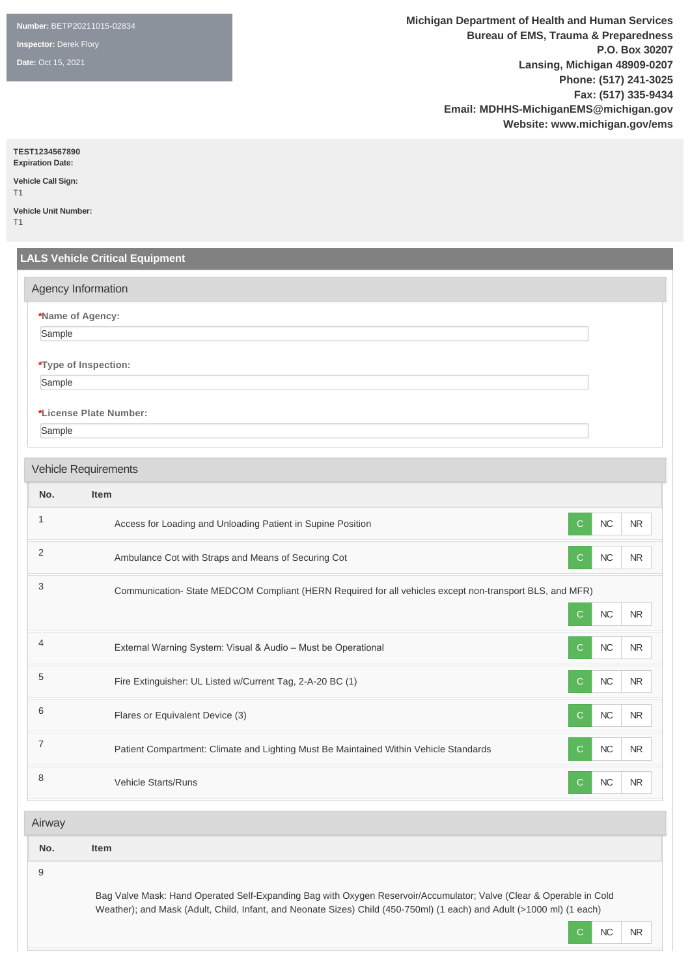**Number:** BETP20211015-02834

**Inspector:** Derek Flory

**Date:** Oct 15, 2021

**Michigan Department of Health and Human Services Bureau of EMS, Trauma & Preparedness P.O. Box 30207 Lansing, Michigan 48909-0207 Phone: (517) 241-3025 Fax: (517) 335-9434 Email: MDHHS-MichiganEMS@michigan.gov Website: www.michigan.gov/ems**

**TEST1234567890**

**Expiration Date: Vehicle Call Sign:** 

T1 **Vehicle Unit Number:** 

T1

# **LALS Vehicle Critical Equipment \*Name of Agency:** Sample **\*Type of Inspection:** Sample **\*License Plate Number:** Sample **No. Item** 1 Access for Loading and Unloading Patient in Supine Position C NC NR NR NR NR NR 2 Ambulance Cot with Straps and Means of Securing Cot Contract Contract Contract Contract Contract Contract NR <sup>3</sup> Communication- State MEDCOM Compliant (HERN Required for all vehicles except non-transport BLS, and MFR) C NC NR 4 External Warning System: Visual & Audio – Must be Operational C NC NC NR 5 Fire Extinguisher: UL Listed w/Current Tag, 2-A-20 BC (1) C NC NR 6 **Flares or Equivalent Device (3)** C RC NR 7 **Patient Compartment: Climate and Lighting Must Be Maintained Within Vehicle Standards** C **NC NR** 8 Vehicle Starts/Runs C NC NR Agency Information Vehicle Requirements Airway

| No. |  |
|-----|--|
|     |  |
|     |  |

**No. Item**

9

Bag Valve Mask: Hand Operated Self-Expanding Bag with Oxygen Reservoir/Accumulator; Valve (Clear & Operable in Cold Weather); and Mask (Adult, Child, Infant, and Neonate Sizes) Child (450-750ml) (1 each) and Adult (>1000 ml) (1 each)

C NC NR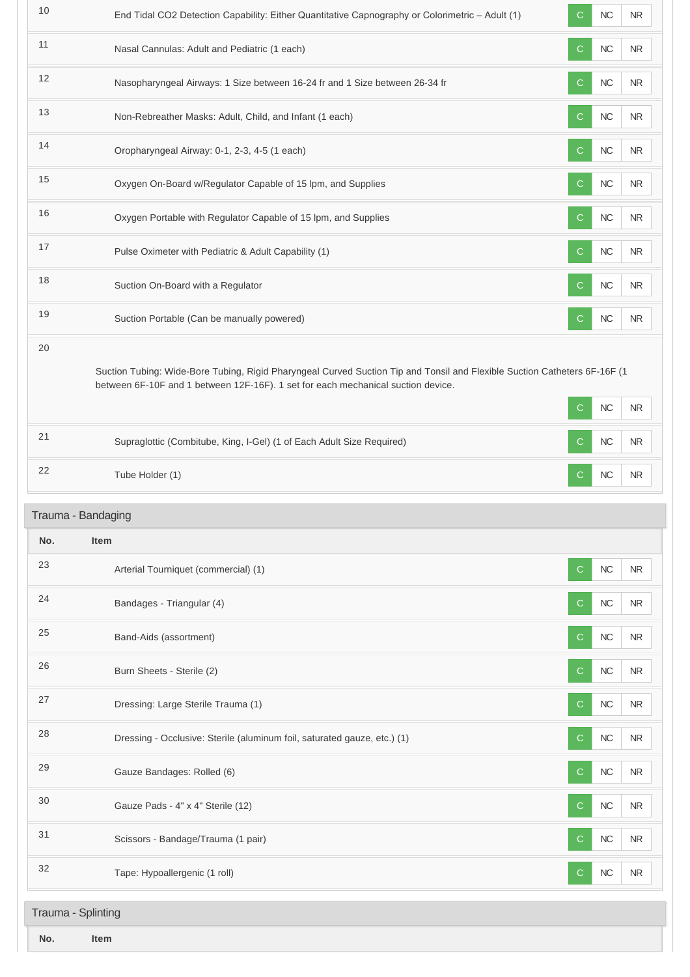| 10  | End Tidal CO2 Detection Capability: Either Quantitative Capnography or Colorimetric - Adult (1)                                                                                                               | С            | NC        | <b>NR</b>  |
|-----|---------------------------------------------------------------------------------------------------------------------------------------------------------------------------------------------------------------|--------------|-----------|------------|
| 11  | Nasal Cannulas: Adult and Pediatric (1 each)                                                                                                                                                                  | C            | $NC$      | <b>NR</b>  |
| 12  | Nasopharyngeal Airways: 1 Size between 16-24 fr and 1 Size between 26-34 fr                                                                                                                                   | C            | $NC$      | <b>NR</b>  |
| 13  | Non-Rebreather Masks: Adult, Child, and Infant (1 each)                                                                                                                                                       | С            | $NC$      | <b>NR</b>  |
| 14  | Oropharyngeal Airway: 0-1, 2-3, 4-5 (1 each)                                                                                                                                                                  | C.           | NC        | <b>NR</b>  |
| 15  | Oxygen On-Board w/Regulator Capable of 15 lpm, and Supplies                                                                                                                                                   | C            | $NC$      | $\sf NR$   |
| 16  | Oxygen Portable with Regulator Capable of 15 lpm, and Supplies                                                                                                                                                | C            | <b>NC</b> | $\sf NR$   |
| 17  | Pulse Oximeter with Pediatric & Adult Capability (1)                                                                                                                                                          | C            | $NC$      | NR         |
| 18  | Suction On-Board with a Regulator                                                                                                                                                                             | C            | $NC$      | $\sf NR$   |
| 19  | Suction Portable (Can be manually powered)                                                                                                                                                                    | C            | NC        | <b>NR</b>  |
| 20  | Suction Tubing: Wide-Bore Tubing, Rigid Pharyngeal Curved Suction Tip and Tonsil and Flexible Suction Catheters 6F-16F (1<br>between 6F-10F and 1 between 12F-16F). 1 set for each mechanical suction device. | C            | NC        | $\sf NR$   |
| 21  | Supraglottic (Combitube, King, I-Gel) (1 of Each Adult Size Required)                                                                                                                                         | C            | NC        | <b>NR</b>  |
| 22  | Tube Holder (1)                                                                                                                                                                                               | С            | NC        | <b>NR</b>  |
|     | Trauma - Bandaging                                                                                                                                                                                            |              |           |            |
| No. | Item                                                                                                                                                                                                          |              |           |            |
| 23  | Arterial Tourniquet (commercial) (1)                                                                                                                                                                          | $\mathsf{C}$ | NC        | <b>NR</b>  |
| 24  | Bandages - Triangular (4)                                                                                                                                                                                     | С            | $NC$      | NR.        |
| 25  | Band-Aids (assortment)                                                                                                                                                                                        | С            | $NC$      | <b>NR</b>  |
| 26  | Burn Sheets - Sterile (2)                                                                                                                                                                                     | C.           | $NC$      | ${\sf NR}$ |
| 27  | Dressing: Large Sterile Trauma (1)                                                                                                                                                                            | С            | $NC$      | NR         |
| 28  | Dressing - Occlusive: Sterile (aluminum foil, saturated gauze, etc.) (1)                                                                                                                                      | C            | $NC$      | <b>NR</b>  |
| 29  | Gauze Bandages: Rolled (6)                                                                                                                                                                                    | С            | $NC$      | <b>NR</b>  |
| 30  | Gauze Pads - 4" x 4" Sterile (12)                                                                                                                                                                             | С            | $NC$      | NR.        |
| 31  | Scissors - Bandage/Trauma (1 pair)                                                                                                                                                                            | C            | NC        | NR.        |
| 32  | Tape: Hypoallergenic (1 roll)                                                                                                                                                                                 | C            | $NC$      | <b>NR</b>  |
|     |                                                                                                                                                                                                               |              |           |            |
|     | Trauma - Splinting                                                                                                                                                                                            |              |           |            |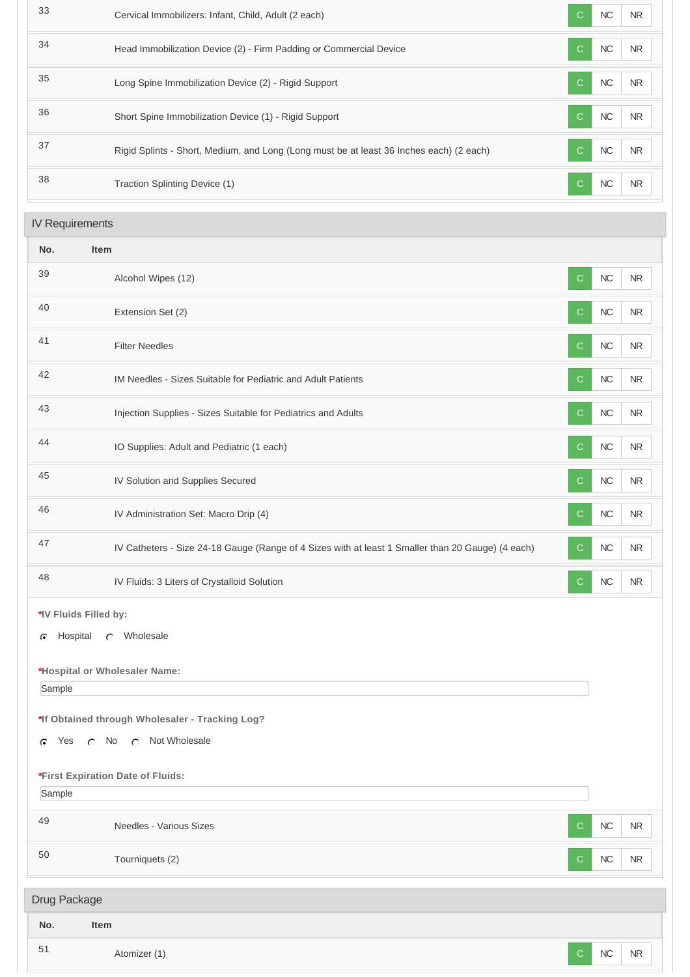| 33                     | Cervical Immobilizers: Infant, Child, Adult (2 each)                                    | C             | NC<br><b>NR</b> |
|------------------------|-----------------------------------------------------------------------------------------|---------------|-----------------|
| 34                     | Head Immobilization Device (2) - Firm Padding or Commercial Device                      | $\mathcal{C}$ | NC<br><b>NR</b> |
| 35                     | Long Spine Immobilization Device (2) - Rigid Support                                    | $\mathcal{C}$ | NC<br>NR        |
| 36                     | Short Spine Immobilization Device (1) - Rigid Support                                   | C             | NC<br>NR        |
| 37                     | Rigid Splints - Short, Medium, and Long (Long must be at least 36 Inches each) (2 each) | C             | NC<br>NR        |
| 38                     | Traction Splinting Device (1)                                                           | $\mathcal{C}$ | NC<br><b>NR</b> |
| <b>IV Requirements</b> |                                                                                         |               |                 |
|                        |                                                                                         |               |                 |

| No. | <b>Item</b>                                                                                                                            |
|-----|----------------------------------------------------------------------------------------------------------------------------------------|
| 39  | $\sf NC$<br>Alcohol Wipes (12)<br>C<br><b>NR</b>                                                                                       |
| 40  | $NC$<br><b>NR</b><br>C<br>Extension Set (2)                                                                                            |
| 41  | $NC$<br><b>NR</b><br><b>Filter Needles</b><br>$\mathsf{C}$                                                                             |
| 42  | $NC$<br>NR<br>IM Needles - Sizes Suitable for Pediatric and Adult Patients<br>$\mathsf{C}$                                             |
| 43  | $NC$<br><b>NR</b><br>Injection Supplies - Sizes Suitable for Pediatrics and Adults<br>C                                                |
| 44  | $NC$<br><b>NR</b><br>IO Supplies: Adult and Pediatric (1 each)<br>C                                                                    |
| 45  | ${\sf NC}$<br>IV Solution and Supplies Secured<br><b>NR</b><br>$\mathsf{C}$                                                            |
| 46  | ${\sf NC}$<br>IV Administration Set: Macro Drip (4)<br>$\mathsf{C}$<br><b>NR</b>                                                       |
| 47  | $NC$<br><b>NR</b><br>IV Catheters - Size 24-18 Gauge (Range of 4 Sizes with at least 1 Smaller than 20 Gauge) (4 each)<br>$\mathsf{C}$ |
| 48  | $NC$<br><b>NR</b><br>IV Fluids: 3 Liters of Crystalloid Solution<br>$\mathsf{C}$                                                       |

**\*IV Fluids Filled by:**

G Hospital C Wholesale

**\*Hospital or Wholesaler Name:**

Sample

**\*If Obtained through Wholesaler - Tracking Log?**

G Yes C No C Not Wholesale

**\*First Expiration Date of Fluids:**

Sample

<sup>49</sup> Needles - Various Sizes <sup>C</sup> NC NR 50 Tourniquets (2) Tourniquets (2) Tourniquets (2) Tourniquets (2) Tourniquets (2) Tourniquets (2) Tourniquets (2) Tourniquets (2) Tourniquets (2) Tourniquets (2) Tourniquets (2) Tourniquets (2) Tourniquets (2) Tourniquets Drug Package

| No. | Item         |            |            |  |
|-----|--------------|------------|------------|--|
| 51  | Atomizer (1) | ${\sf NC}$ | ${\sf NR}$ |  |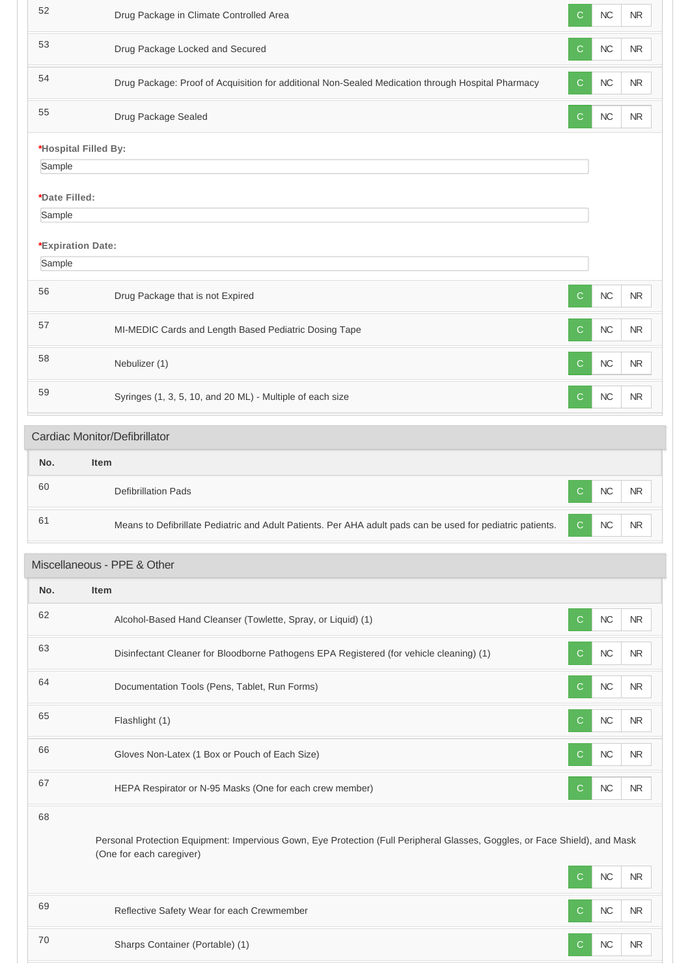| 52                          | Drug Package in Climate Controlled Area                                                                                                                 | $\mathsf{C}$ | NC        | <b>NR</b>  |
|-----------------------------|---------------------------------------------------------------------------------------------------------------------------------------------------------|--------------|-----------|------------|
| 53                          | Drug Package Locked and Secured                                                                                                                         | C            | <b>NC</b> | <b>NR</b>  |
| 54                          | Drug Package: Proof of Acquisition for additional Non-Sealed Medication through Hospital Pharmacy                                                       | $\mathsf{C}$ | NC        | <b>NR</b>  |
| 55                          | Drug Package Sealed                                                                                                                                     | $\mathbf C$  | NC        | NR         |
| *Hospital Filled By:        |                                                                                                                                                         |              |           |            |
| Sample                      |                                                                                                                                                         |              |           |            |
| *Date Filled:               |                                                                                                                                                         |              |           |            |
| Sample                      |                                                                                                                                                         |              |           |            |
|                             |                                                                                                                                                         |              |           |            |
| *Expiration Date:<br>Sample |                                                                                                                                                         |              |           |            |
|                             |                                                                                                                                                         |              |           |            |
| 56                          | Drug Package that is not Expired                                                                                                                        | C            | NC        | <b>NR</b>  |
| 57                          | MI-MEDIC Cards and Length Based Pediatric Dosing Tape                                                                                                   | $\mathsf{C}$ | NC        | <b>NR</b>  |
| 58                          | Nebulizer (1)                                                                                                                                           | $\mathsf{C}$ | NC        | <b>NR</b>  |
| 59                          | Syringes (1, 3, 5, 10, and 20 ML) - Multiple of each size                                                                                               | C            | <b>NC</b> | <b>NR</b>  |
|                             | Cardiac Monitor/Defibrillator                                                                                                                           |              |           |            |
| No.                         | <b>Item</b>                                                                                                                                             |              |           |            |
| 60                          | <b>Defibrillation Pads</b>                                                                                                                              | $\mathsf{C}$ | NC        | NR.        |
| 61                          | Means to Defibrillate Pediatric and Adult Patients. Per AHA adult pads can be used for pediatric patients.                                              | C.           | NC        | ${\sf NR}$ |
|                             | Miscellaneous - PPE & Other                                                                                                                             |              |           |            |
| No.                         | <b>Item</b>                                                                                                                                             |              |           |            |
| 62                          | Alcohol-Based Hand Cleanser (Towlette, Spray, or Liquid) (1)                                                                                            | C            | NC        | NR         |
| 63                          | Disinfectant Cleaner for Bloodborne Pathogens EPA Registered (for vehicle cleaning) (1)                                                                 | C            | <b>NC</b> | <b>NR</b>  |
| 64                          | Documentation Tools (Pens, Tablet, Run Forms)                                                                                                           | $\mathbf C$  | NC        | <b>NR</b>  |
| 65                          | Flashlight (1)                                                                                                                                          | C            | <b>NC</b> | NR.        |
| 66                          | Gloves Non-Latex (1 Box or Pouch of Each Size)                                                                                                          | $\mathsf{C}$ | NC        | NR.        |
| 67                          | HEPA Respirator or N-95 Masks (One for each crew member)                                                                                                | C            | <b>NC</b> | NR         |
| 68                          | Personal Protection Equipment: Impervious Gown, Eye Protection (Full Peripheral Glasses, Goggles, or Face Shield), and Mask<br>(One for each caregiver) | C            | <b>NC</b> | <b>NR</b>  |
| 69                          | Reflective Safety Wear for each Crewmember                                                                                                              | C            | NC        | <b>NR</b>  |
|                             |                                                                                                                                                         |              |           |            |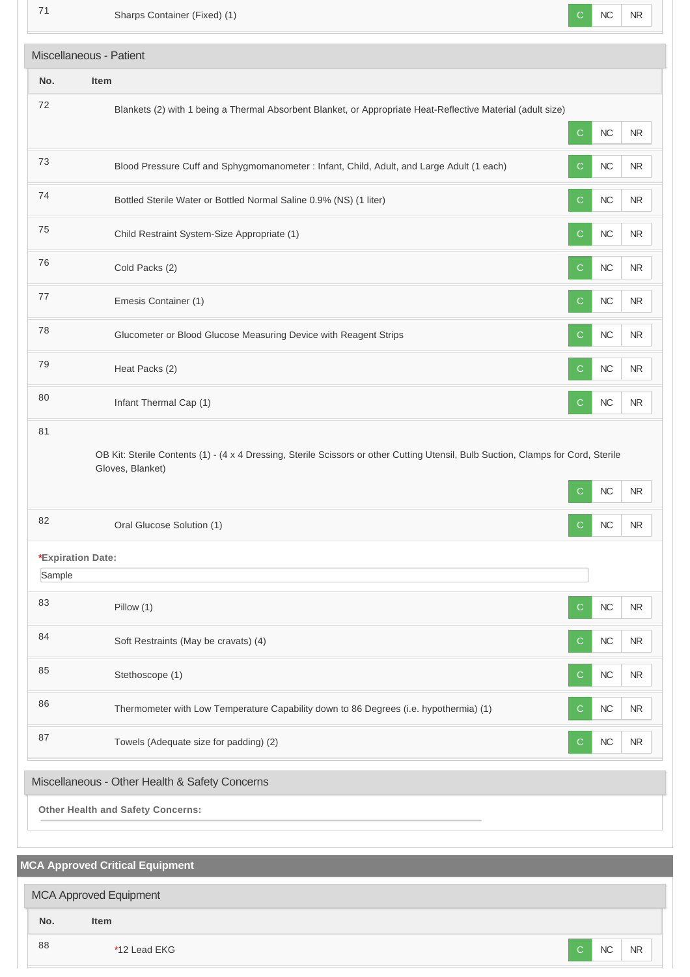**MCA Approved Critical Equipment** The Sharps Container (Fixed) (1) C NC NR **No. Item** <sup>72</sup> Blankets (2) with 1 being a Thermal Absorbent Blanket, or Appropriate Heat-Reflective Material (adult size) C NC NR 73 Blood Pressure Cuff and Sphygmomanometer : Infant, Child, Adult, and Large Adult (1 each) C NC NR The Table of the Bottled Sterile Water or Bottled Normal Saline 0.9% (NS) (1 liter) C NC NR NR The Child Restraint System-Size Appropriate (1) C NC NR The cold Packs (2) Cold Packs (2) C NC NR The Emesis Container (1) C NC NR TR Glucometer or Blood Glucose Measuring Device with Reagent Strips C C NC NR The state of the state of the state of the state of the state of the state of the state of the state of the state of the state of the state of the state of the state of the state of the state of the state of the state of t 80 Infant Thermal Cap (1) C NC NR 81 OB Kit: Sterile Contents (1) - (4 x 4 Dressing, Sterile Scissors or other Cutting Utensil, Bulb Suction, Clamps for Cord, Sterile Gloves, Blanket) C NC NR 82 Oral Glucose Solution (1) C NC NR **\*Expiration Date:** Sample 83 Pillow (1) Pillow (1) Pillow (1) Pillow (1) Politics and the contract of the contract of the contract of the contract of the contract of the contract of the contract of the contract of the contract of the contract of th 84 Soft Restraints (May be cravats) (4) Soft Restraints (May be cravats) (4) Soft Restraints (May be cravats) (4) 85 Stethoscope (1) Stethoscope (1) Stethoscope (1) Stethoscope (1) Stethoscope (1) Stethoscope (1) Stethoscope (1) 86 Thermometer with Low Temperature Capability down to 86 Degrees (i.e. hypothermia) (1) C NC NR 87 Towels (Adequate size for padding) (2) C NC NR **Other Health and Safety Concerns:** Miscellaneous - Patient Miscellaneous - Other Health & Safety Concerns

**No. Item** and the set of the set of the set of the set of the set of the set of the set of the set of the set of the set of the set of the set of the set of the set of the set of the set of the set of the set of the set of the set o MCA Approved Equipment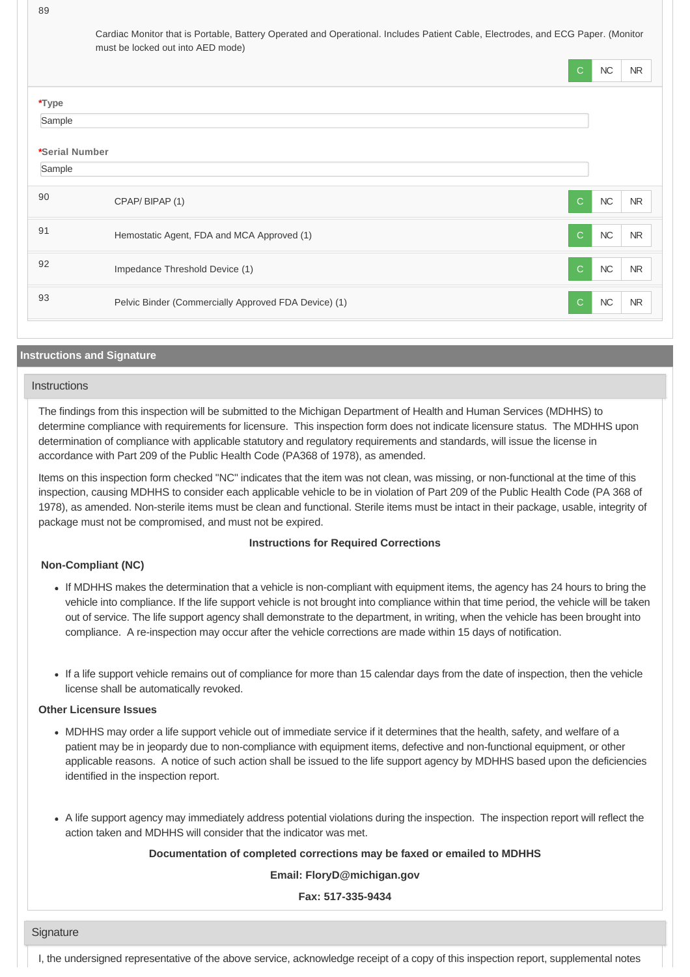89

Cardiac Monitor that is Portable, Battery Operated and Operational. Includes Patient Cable, Electrodes, and ECG Paper. (Monitor must be locked out into AED mode)

|                |                                                      | $\mathsf{C}$ | NC   | <b>NR</b> |
|----------------|------------------------------------------------------|--------------|------|-----------|
| *Type          |                                                      |              |      |           |
| Sample         |                                                      |              |      |           |
| *Serial Number |                                                      |              |      |           |
| Sample         |                                                      |              |      |           |
| 90             | CPAP/BIPAP (1)                                       | $\mathsf{C}$ | NC   | NR        |
| 91             | Hemostatic Agent, FDA and MCA Approved (1)           | $\mathsf{C}$ | $NC$ | <b>NR</b> |
| 92             | Impedance Threshold Device (1)                       | $\mathsf{C}$ | NC   | <b>NR</b> |
| 93             | Pelvic Binder (Commercially Approved FDA Device) (1) | $\mathsf{C}$ | $NC$ | <b>NR</b> |

## **Instructions and Signature**

# **Instructions**

The findings from this inspection will be submitted to the Michigan Department of Health and Human Services (MDHHS) to determine compliance with requirements for licensure. This inspection form does not indicate licensure status. The MDHHS upon determination of compliance with applicable statutory and regulatory requirements and standards, will issue the license in accordance with Part 209 of the Public Health Code (PA368 of 1978), as amended.

Items on this inspection form checked "NC" indicates that the item was not clean, was missing, or non-functional at the time of this inspection, causing MDHHS to consider each applicable vehicle to be in violation of Part 209 of the Public Health Code (PA 368 of 1978), as amended. Non-sterile items must be clean and functional. Sterile items must be intact in their package, usable, integrity of package must not be compromised, and must not be expired.

## **Instructions for Required Corrections**

## **Non-Compliant (NC)**

- If MDHHS makes the determination that a vehicle is non-compliant with equipment items, the agency has 24 hours to bring the vehicle into compliance. If the life support vehicle is not brought into compliance within that time period, the vehicle will be taken out of service. The life support agency shall demonstrate to the department, in writing, when the vehicle has been brought into compliance. A re-inspection may occur after the vehicle corrections are made within 15 days of notification.
- If a life support vehicle remains out of compliance for more than 15 calendar days from the date of inspection, then the vehicle license shall be automatically revoked.

## **Other Licensure Issues**

- MDHHS may order a life support vehicle out of immediate service if it determines that the health, safety, and welfare of a patient may be in jeopardy due to non-compliance with equipment items, defective and non-functional equipment, or other applicable reasons. A notice of such action shall be issued to the life support agency by MDHHS based upon the deficiencies identified in the inspection report.
- A life support agency may immediately address potential violations during the inspection. The inspection report will reflect the action taken and MDHHS will consider that the indicator was met.

## **Documentation of completed corrections may be faxed or emailed to MDHHS**

**Email: FloryD@michigan.gov**

**Fax: 517-335-9434**

#### **Signature**

I, the undersigned representative of the above service, acknowledge receipt of a copy of this inspection report, supplemental notes